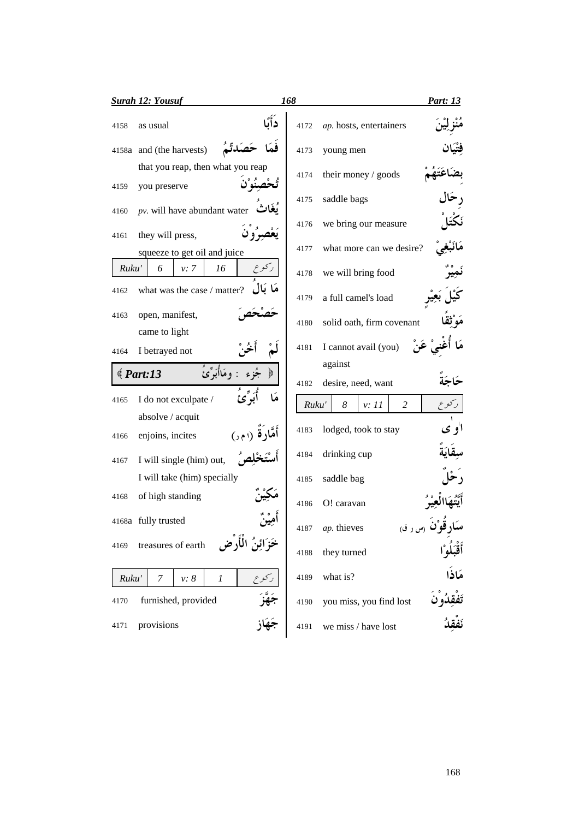|       | <b>Surah 12: Yousuf</b>                                   |                   | 168   |                              | Part: 13    |
|-------|-----------------------------------------------------------|-------------------|-------|------------------------------|-------------|
| 4158  | as usual                                                  | دَأَكًا           | 4172  | ap. hosts, entertainers      |             |
|       | 4158a and (the harvests)                                  |                   | 4173  | young men                    |             |
| 4159  | that you reap, then what you reap<br>you preserve         |                   | 4174  | their money / goods          |             |
| 4160  | $pv$ . will have abundant water                           |                   | 4175  | saddle bags                  |             |
| 4161  | يَعْصِرُون<br>they will press,                            |                   | 4176  | we bring our measure         |             |
|       | squeeze to get oil and juice                              |                   | 4177  | what more can we desire?     |             |
| Ruku' | 6<br>16<br>v: 7                                           |                   | 4178  | we will bring food           |             |
| 4162  | what was the case / matter?                               | مَا بَال          | 4179  | a full camel's load          |             |
| 4163  | open, manifest,                                           |                   | 4180  | solid oath, firm covenant    |             |
|       | came to light                                             |                   |       |                              |             |
| 4164  | I betrayed not                                            |                   | 4181  | عَنْ<br>I cannot avail (you) |             |
|       | و مَاأْبَوٌّ يَ<br>$\langle$ Part:13                      |                   |       | against                      |             |
|       |                                                           |                   | 4182  | desire, need, want           |             |
| 4165  | I do not exculpate /                                      |                   | Ruku' | $\overline{c}$<br>8<br>v: 11 | ركوع        |
| 4166  | absolve / acquit<br>enjoins, incites                      |                   | 4183  | lodged, took to stay         | ا'و ي       |
| 4167  | I will single (him) out,                                  |                   | 4184  | drinking cup                 |             |
|       | I will take (him) specially                               |                   | 4185  | saddle bag                   |             |
| 4168  | of high standing                                          |                   | 4186  | O! caravan                   |             |
|       | 4168a fully trusted                                       |                   | 4187  | ap. thieves<br>(س ر ق)       |             |
| 4169  | خَزَائِنُ الْأَرْضِ<br>treasures of earth                 |                   | 4188  | they turned                  | أَقْبَلُوْا |
| Ruku' | ر کو ع<br>7<br>$v$ : $\boldsymbol{8}$<br>$\boldsymbol{l}$ |                   | 4189  | what is?                     | مَاذَا      |
| 4170  | furnished, provided                                       | جَهَّزَ<br>جَهَاز | 4190  | you miss, you find lost      |             |
| 4171  | provisions                                                |                   | 4191  | we miss / have lost          |             |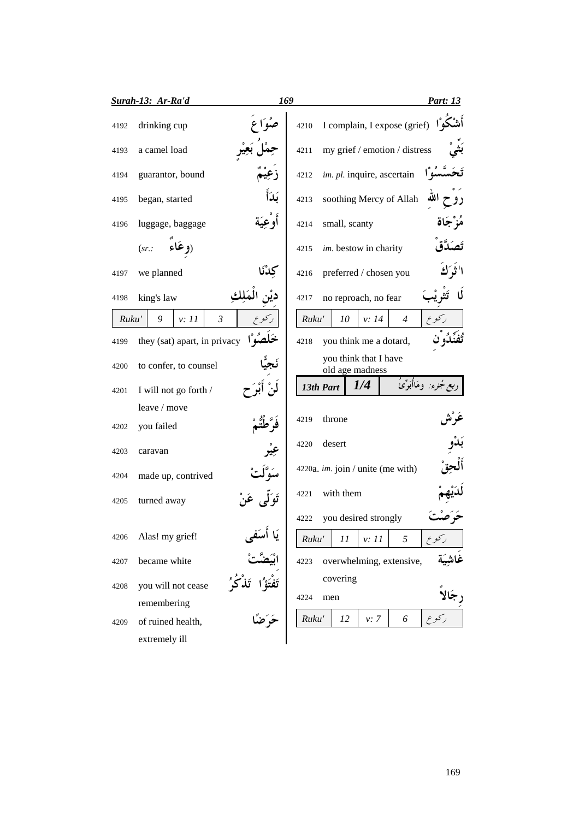|       | Surah-13: Ar-Ra'd            |         | 169   |                                          |       |                               | Part: 13                |
|-------|------------------------------|---------|-------|------------------------------------------|-------|-------------------------------|-------------------------|
| 4192  | drinking cup                 |         | 4210  |                                          |       | I complain, I expose (grief)  |                         |
| 4193  | a camel load                 |         | 4211  |                                          |       | my grief / emotion / distress |                         |
| 4194  | guarantor, bound             |         | 4212  | im. pl. inquire, ascertain               |       |                               |                         |
| 4195  | began, started               | نكأ     | 4213  |                                          |       | soothing Mercy of Allah       | الله                    |
| 4196  | luggage, baggage             | او عِيه | 4214  | small, scanty                            |       |                               | مز جاة                  |
|       | ۱۹ عَاء<br>(sr.              |         | 4215  | im. bestow in charity                    |       |                               |                         |
| 4197  | we planned                   | كدْنَا  | 4216  | preferred / chosen you                   |       |                               |                         |
| 4198  | king's law                   |         | 4217  | no reproach, no fear                     |       |                               |                         |
| Ruku' | 9<br>$\mathfrak{Z}$<br>v: 11 | رکوع    | Ruku' | 10                                       | v: 14 | $\overline{4}$                | ر کو ع                  |
| 4199  | they (sat) apart, in privacy |         | 4218  | you think me a dotard,                   |       |                               |                         |
| 4200  | to confer, to counsel        |         |       | you think that I have<br>old age madness |       |                               |                         |
| 4201  | I will not go forth /        |         |       | 13th Part                                | 1/4   |                               | ربع جُزء: ومَاأُبَوِّئُ |
|       | leave / move                 |         |       |                                          |       |                               |                         |
| 4202  | you failed                   |         | 4219  | throne                                   |       |                               |                         |
| 4203  | caravan                      |         | 4220  | desert                                   |       |                               |                         |
| 4204  | made up, contrived           |         |       | 4220a. <i>im.</i> join / unite (me with) |       |                               |                         |
| 4205  | turned away                  |         | 4221  | with them                                |       |                               |                         |
|       |                              |         | 4222  | you desired strongly                     |       |                               |                         |
| 4206  | Alas! my grief!              | س ځ پ   | Ruku' | 11                                       | v: 11 | 5                             |                         |
| 4207  | became white                 |         | 4223  |                                          |       | overwhelming, extensive,      |                         |
| 4208  | you will not cease           |         |       | covering                                 |       |                               |                         |
|       | remembering                  |         | 4224  | men                                      |       |                               |                         |
| 4209  | of ruined health,            |         | Ruku' | 12                                       | v: 7  | 6                             |                         |
|       | extremely ill                |         |       |                                          |       |                               |                         |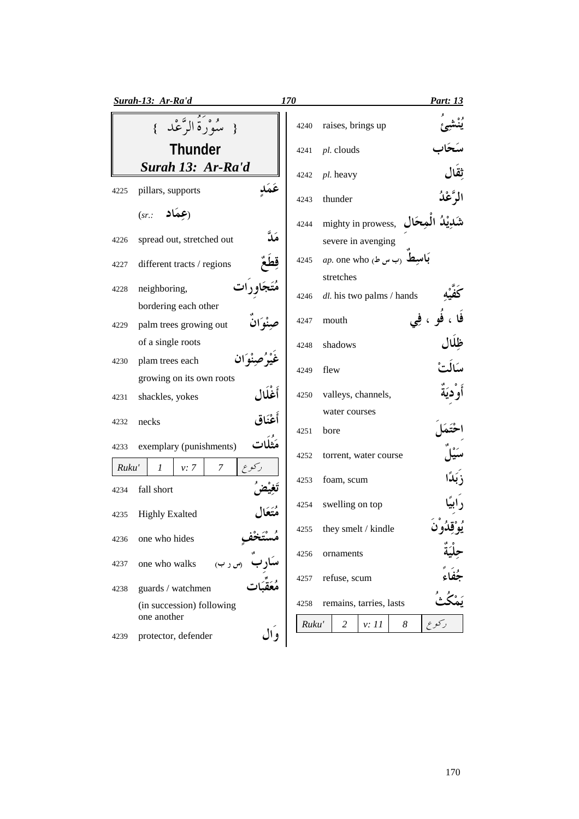|       | Surah-13: Ar-Ra'd                        | 170   | Part: 13                                      |
|-------|------------------------------------------|-------|-----------------------------------------------|
|       | { سُوْرَةُ الرَّعْدِ }                   | 4240  | raises, brings up                             |
|       | <b>Thunder</b>                           | 4241  | pl. clouds                                    |
|       | Surah 13: Ar-Ra'd                        | 4242  | ثقال<br>pl. heavy                             |
| 4225  | عكك<br>pillars, supports                 | 4243  | الرَّعْدُ<br>thunder                          |
|       | $(sr.:$ (عِمَاد)                         | 4244  | mighty in prowess,                            |
| 4226  | مَدَّ<br>spread out, stretched out       |       | severe in avenging                            |
| 4227  | different tracts / regions               | 4245  | <i>ap</i> . one who باسيط <sub>(</sub> ب س ط) |
|       | neighboring,                             |       | stretches                                     |
| 4228  | bordering each other                     | 4246  | dl. his two palms / hands                     |
| 4229  | palm trees growing out                   | 4247  | فو ، فِي<br>mouth                             |
|       | of a single roots                        | 4248  | shadows                                       |
| 4230  | plam trees each                          | 4249  | يسَالْتُ<br>flew                              |
|       | growing on its own roots                 |       |                                               |
| 4231  | أَغْلَال<br>shackles, yokes              | 4250  | أو ديَة<br>valleys, channels,                 |
| 4232  | أَعْنَاق<br>necks                        | 4251  | water courses<br>bore                         |
| 4233  | مَثْلَات<br>exemplary (punishments)      | 4252  | torrent, water course                         |
| Ruku' | رکوع<br>1<br>7<br>v: 7                   |       |                                               |
| 4234  | fall short                               | 4253  | foam, scum                                    |
| 4235  | متعال<br><b>Highly Exalted</b>           | 4254  | swelling on top                               |
| 4236  | one who hides                            |       | 4255 they smelt / kindle                      |
|       |                                          | 4256  | ornaments                                     |
| 4237  | one who walks<br>(س ر ب)                 |       |                                               |
| 4238  | guards / watchmen                        | 4257  | refuse, scum                                  |
|       | (in succession) following<br>one another | 4258  | remains, tarries, lasts                       |
| 4239  | وال<br>protector, defender               | Ruku' | $\overline{2}$<br>8<br>v: 11<br>ر کو ع        |
|       |                                          |       |                                               |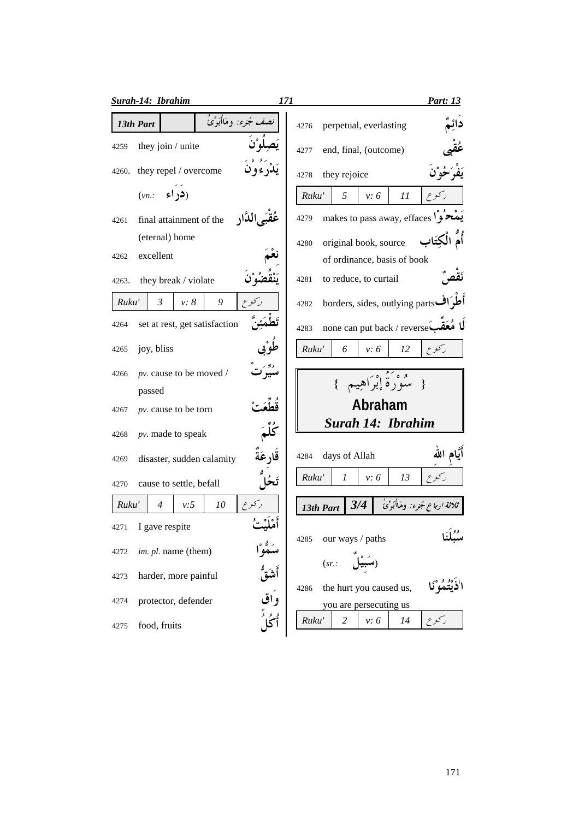|       | Surah-14: Ibrahim                           | 171<br><u>Part: 13</u>                              |
|-------|---------------------------------------------|-----------------------------------------------------|
|       | صف مُجرء: ومَاأُبَوِّئُ<br>13th Part        | perpetual, everlasting<br>4276                      |
| 4259  | they join / unite                           | end, final, (outcome)<br>4277                       |
| 4260. | they repel / overcome                       | they rejoice<br>4278                                |
|       | (در اء<br>(vn.                              | Ruku'<br>5<br>v: 6<br>11                            |
| 4261  | عُقبَى الدَّارِ<br>final attainment of the  | makes to pass away, effaces $\sqrt{2}$<br>4279      |
|       | (eternal) home                              | الكتَاب<br>original book, source<br>4280            |
| 4262  | excellent                                   |                                                     |
|       |                                             | of ordinance, basis of book                         |
| 4263. | they break / violate                        | to reduce, to curtail<br>4281                       |
| Ruku' | $\mathfrak{Z}$<br>9<br>رکو ع<br>v: 8        | borders, sides, outlying parts<br>4282              |
| 4264  | set at rest, get satisfaction               | none can put back / reverse<br>4283                 |
| 4265  | joy, bliss                                  | Ruku'<br>ركوع<br>6<br>v: 6<br>12                    |
| 4266  | pv. cause to be moved /                     | { سُوْرَةٌ إِبْرَاهِيمٍ }                           |
|       | passed                                      |                                                     |
| 4267  | pv. cause to be torn                        | Abraham                                             |
| 4268  | ككم<br>$pv.$ made to speak                  | Surah 14: Ibrahim                                   |
| 4269  | قَارِ عَةَ<br>disaster, sudden calamity     | م الله<br>days of Allah<br>4284                     |
| 4270  | cause to settle, befall                     | Ruku'<br>v: 6<br>13<br>$\mathcal{I}$                |
| Ruku' | ${\it 10}$<br>ركوع<br>v:5<br>$\overline{4}$ | ثلاثة ارباع جُزء: ومَاأُبَرِّئُ<br>3/4<br>13th Part |
| 4271  | I gave respite                              |                                                     |
| 4272  | im. pl. name (them)                         | 4285<br>our ways / paths                            |
| 4273  | harder, more painful                        | (sr.<br>the hurt you caused us,<br>4286             |
| 4274  | واق<br>protector, defender                  | you are persecuting us                              |
| 4275  | food, fruits                                | Ruku'<br>2<br>v: 6<br>14                            |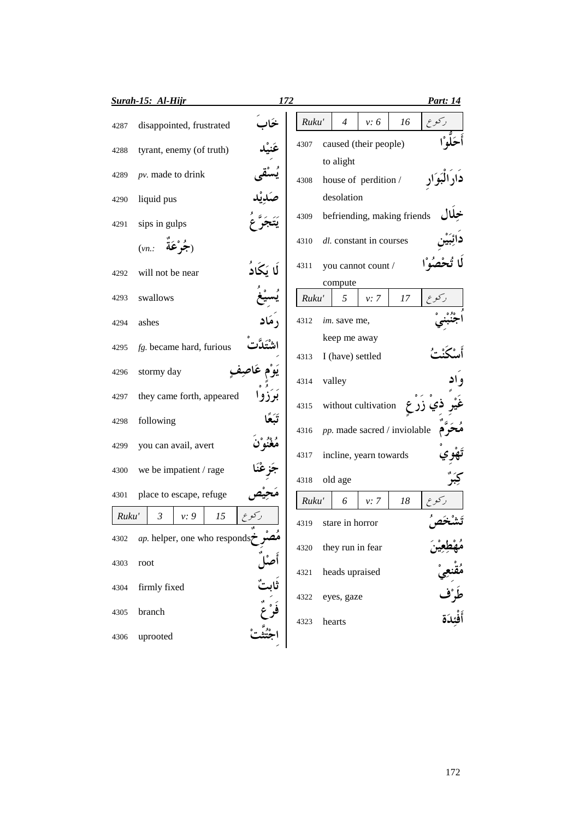|       | <b>Surah-15: Al-Hijr</b>                                   | 172      |       |        |                                  |                         |                              | Part: 14                             |
|-------|------------------------------------------------------------|----------|-------|--------|----------------------------------|-------------------------|------------------------------|--------------------------------------|
| 4287  | disappointed, frustrated                                   |          | Ruku' |        | $\overline{4}$                   | v: 6                    | 16                           | كوع                                  |
| 4288  | tyrant, enemy (of truth)                                   |          | 4307  |        |                                  | caused (their people)   |                              |                                      |
| 4289  | $pv$ . made to drink                                       |          | 4308  |        | to alight                        | house of perdition /    |                              |                                      |
| 4290  | liquid pus                                                 |          |       |        | desolation                       |                         |                              |                                      |
| 4291  | sips in gulps                                              |          | 4309  |        |                                  |                         | befriending, making friends  |                                      |
|       | $(\nu n.: \quad \hat{a} \hat{c}^* \hat{\boldsymbol{\xi}})$ |          | 4310  |        |                                  | dl. constant in courses |                              |                                      |
| 4292  | will not be near                                           | لا يَكاد | 4311  |        |                                  | you cannot count /      |                              |                                      |
| 4293  | swallows                                                   |          | Ruku' |        | compute<br>5                     | v: 7                    | 17                           |                                      |
| 4294  | ashes                                                      |          | 4312  |        | im. save me,                     |                         |                              |                                      |
| 4295  | $fg.$ became hard, furious                                 |          | 4313  |        | keep me away<br>I (have) settled |                         |                              |                                      |
| 4296  | stormy day                                                 |          | 4314  | valley |                                  |                         |                              |                                      |
| 4297  | they came forth, appeared                                  |          | 4315  |        |                                  | without cultivation     | زر ع                         |                                      |
| 4298  | following                                                  |          | 4316  |        |                                  |                         | pp. made sacred / inviolable |                                      |
| 4299  | you can avail, avert                                       |          | 4317  |        |                                  | incline, yearn towards  |                              |                                      |
| 4300  | we be impatient / rage                                     |          | 4318  |        | old age                          |                         |                              |                                      |
| 4301  | place to escape, refuge                                    |          | Ruku' |        | 6                                | v: 7                    | 18                           |                                      |
| Ruku' | $\mathfrak{Z}$<br>v: 9<br>15                               |          | 4319  |        | stare in horror                  |                         |                              |                                      |
| 4302  | <i>ap</i> . helper, one who responds                       |          | 4320  |        | they run in fear                 |                         |                              |                                      |
| 4303  | root                                                       |          | 4321  |        | heads upraised                   |                         |                              |                                      |
| 4304  | firmly fixed                                               |          | 4322  |        | eyes, gaze                       |                         |                              |                                      |
| 4305  | branch                                                     |          | 4323  | hearts |                                  |                         |                              | ؆<br>مُقْنعِيْ<br>طَرْف<br>أَفْئِدَة |
| 4306  | uprooted                                                   |          |       |        |                                  |                         |                              |                                      |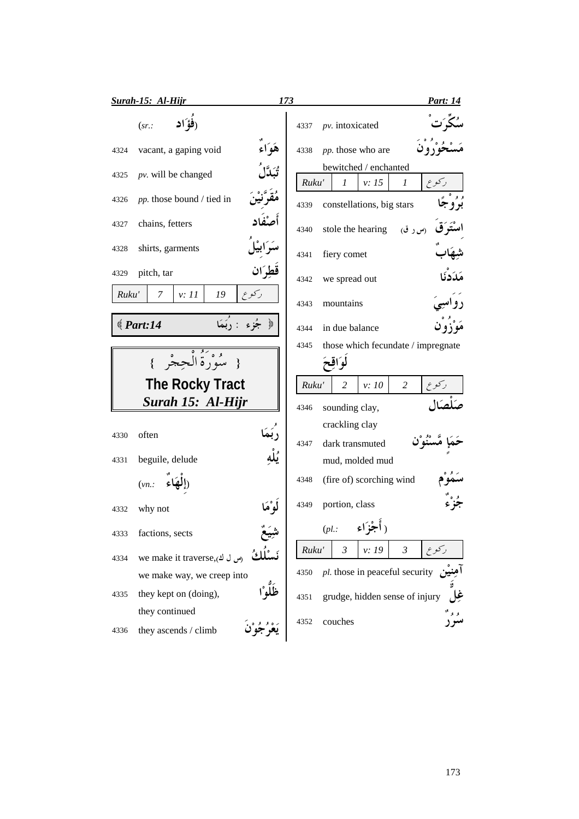| Surah-15: Al-Hijr         |                              | 173       |       |                                     | <u>Part: 14</u>        |
|---------------------------|------------------------------|-----------|-------|-------------------------------------|------------------------|
| (sr.                      | (فؤ ًاد                      |           | 4337  | pv. intoxicated                     |                        |
| 4324                      | vacant, a gaping void        | هَوَاءِ   | 4338  | pp. those who are                   |                        |
| 4325                      | $pv.$ will be changed        |           | Ruku' | bewitched / enchanted<br>1<br>v: 15 | ركوع<br>1              |
| 4326                      | pp. those bound / tied in    |           | 4339  | constellations, big stars           | بو'وُ جَا              |
| chains, fetters<br>4327   |                              |           | 4340  | stole the hearing                   | (س ر ق)                |
| shirts, garments<br>4328  |                              |           | 4341  | fiery comet                         |                        |
| pitch, tar<br>4329        |                              | قطران     | 4342  | we spread out                       | مَدَدْنَا              |
| Ruku'<br>7                | v: 11<br>19                  | ركوع      | 4343  | mountains                           | د و اسيې               |
| $\text{\textcircled{14}}$ | جُزءِ : رَبَمَا              | े<br>श्री | 4344  | in due balance                      |                        |
|                           |                              |           | 4345  | those which fecundate / impregnate  |                        |
|                           | { سُوْرَةُ الْجِجْرِ }       |           |       | لوَاقِعَ                            |                        |
|                           |                              |           |       |                                     |                        |
|                           | <b>The Rocky Tract</b>       |           | Ruku' | $\overline{2}$<br>v: 10             | $\overline{2}$<br>ركوع |
|                           | Surah 15: Al-Hijr            |           | 4346  | sounding clay,                      |                        |
|                           |                              |           |       | crackling clay                      |                        |
| often<br>4330             |                              |           | 4347  | dark transmuted                     |                        |
|                           |                              | ؞<br>ؽڵە  |       |                                     |                        |
| beguile, delude<br>4331   |                              |           |       | mud, molded mud                     |                        |
| $(vn)$ :                  | چاء                          |           | 4348  | (fire of) scorching wind            |                        |
| why not<br>4332           |                              | و ْهَا    | 4349  | portion, class                      |                        |
| 4333<br>factions, sects   |                              |           |       | $(\rho l.:$ (أَجْزَاء               |                        |
| 4334                      | we make it traverse, (س ل ك) |           | Ruku' | $\mathfrak{Z}$<br>v: 19             | $\mathfrak{Z}$         |
|                           | we make way, we creep into   |           | 4350  | pl. those in peaceful security      |                        |
| 4335                      | they kept on (doing),        |           | 4351  | grudge, hidden sense of injury      |                        |
| they continued            |                              |           |       |                                     |                        |
| 4336                      | they ascends / climb         |           | 4352  | couches                             |                        |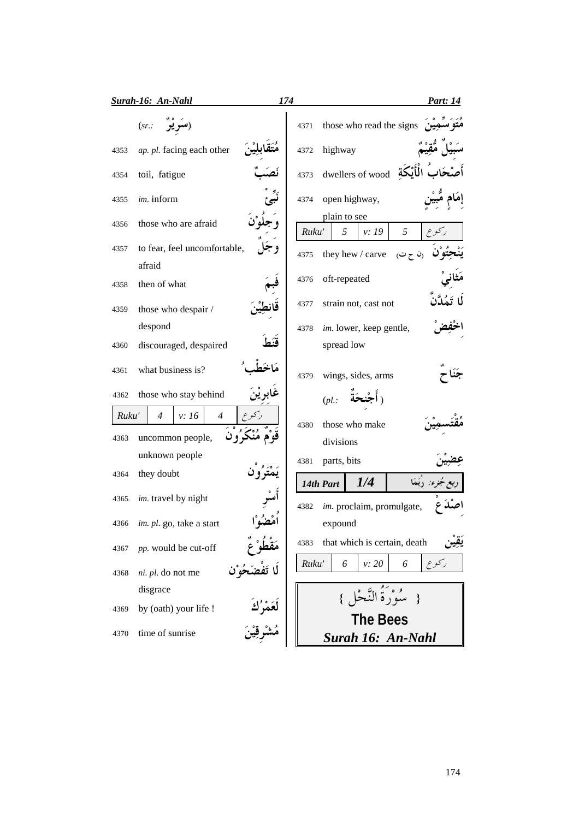|       | Surah-16: An-Nahl                              | 174<br>Part: 14                                |
|-------|------------------------------------------------|------------------------------------------------|
|       | (sr.                                           | those who read the signs<br>4371               |
| 4353  | ap. pl. facing each other                      | highway<br>4372                                |
| 4354  | toil, fatigue                                  | dwellers of wood<br>4373                       |
| 4355  | im. inform                                     | open highway,<br>4374                          |
| 4356  | those who are afraid                           | plain to see<br>5<br>v: 19<br>Ruku'<br>5       |
| 4357  | to fear, feel uncomfortable,                   | they hew / carve<br>$($ ن ح ت $)$<br>4375      |
|       | afraid                                         |                                                |
| 4358  | then of what                                   | oft-repeated<br>4376                           |
| 4359  | those who despair /                            | strain not, cast not<br>4377                   |
|       | despond                                        | im. lower, keep gentle,<br>4378                |
| 4360  | discouraged, despaired                         | spread low                                     |
| 4361  | what business is?                              | wings, sides, arms<br>4379                     |
| 4362  | those who stay behind                          | (pl.:                                          |
| Ruku' | $\overline{4}$<br>v: 16<br>$\overline{4}$      |                                                |
| 4363  | uncommon people,                               | those who make<br>4380<br>divisions            |
|       | unknown people                                 |                                                |
| 4364  | they doubt                                     | parts, bits<br>4381<br>1/4                     |
| 4365  | im. travel by night                            | 14th Part<br>im. proclaim, promulgate,<br>4382 |
| 4366  | im. pl. go, take a start                       | expound                                        |
| 4367  | pp. would be cut-off                           | that which is certain, death<br>4383           |
| 4368  | مٯصو ح<br>لَا تَفْضَحُوْن<br>ni. pl. do not me | ركوع<br>Ruku'<br>6<br>v: 20<br>6               |
|       | disgrace                                       | مُبْوَرَةُ النَّجْلِ }                         |
| 4369  | by (oath) your life !                          |                                                |
| 4370  | time of sunrise                                | <b>The Bees</b><br>Surah 16: An-Nahl           |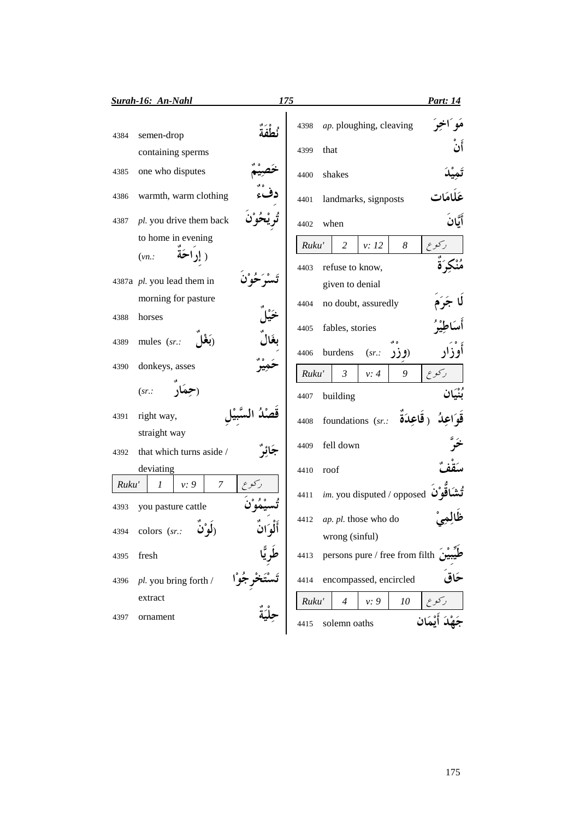|       | <b>Surah-16: An-Nahl</b>                | 175  |       |                                    | Part: 14                 |
|-------|-----------------------------------------|------|-------|------------------------------------|--------------------------|
| 4384  | semen-drop                              | ثطفة | 4398  | ap. ploughing, cleaving            | مَو اُخِرَ               |
|       | containing sperms                       |      | 4399  | that                               | أَنْ                     |
| 4385  | one who disputes                        |      | 4400  | shakes                             |                          |
| 4386  | warmth, warm clothing                   |      | 4401  | landmarks, signposts               |                          |
| 4387  | pl. you drive them back                 |      | 4402  | when                               | أيَّان                   |
|       | to home in evening                      |      | Ruku' | $\overline{2}$<br>v: 12            | $\boldsymbol{8}$<br>ركوع |
|       | ( إداحَة<br>(vn.                        |      |       |                                    |                          |
|       | 4387a pl. you lead them in              |      | 4403  | refuse to know,<br>given to denial |                          |
|       | morning for pasture                     |      | 4404  | no doubt, assuredly                |                          |
| 4388  | horses                                  |      |       |                                    |                          |
|       | mules (sr.:<br>(بغا                     |      | 4405  | fables, stories                    |                          |
| 4389  |                                         |      | 4406  | burdens<br>(sr.                    | أوزار<br>(وزر            |
| 4390  | donkeys, asses                          |      | Ruku' | $\mathfrak{Z}$<br>v: 4             | ركوع<br>9                |
|       | (sr.                                    |      | 4407  | building                           | بُنْيَان                 |
| 4391  | right way,                              |      | 4408  | foundations (sr.:                  | ( قَاعِدَة               |
|       | straight way                            |      | 4409  | fell down                          |                          |
| 4392  | that which turns aside /                |      |       |                                    |                          |
|       | deviating                               |      | 4410  | roof                               |                          |
| Ruku' | $\overline{7}$<br>$\mathcal{I}$<br>v: 9 |      | 4411  | im. you disputed / opposed         |                          |
| 4393  | you pasture cattle                      |      | 4412  | ap. pl. those who do               |                          |
|       | 4394 colors (sr.:<br>ر ہو ت             |      |       | wrong (sinful)                     |                          |
| 4395  | fresh                                   |      | 4413  | persons pure / free from filth     |                          |
| 4396  | pl. you bring forth /                   |      | 4414  | encompassed, encircled             |                          |
|       | extract                                 |      | Ruku' | v: 9<br>$\overline{4}$             | 10                       |
| 4397  | ornament                                |      | 4415  | solemn oaths                       |                          |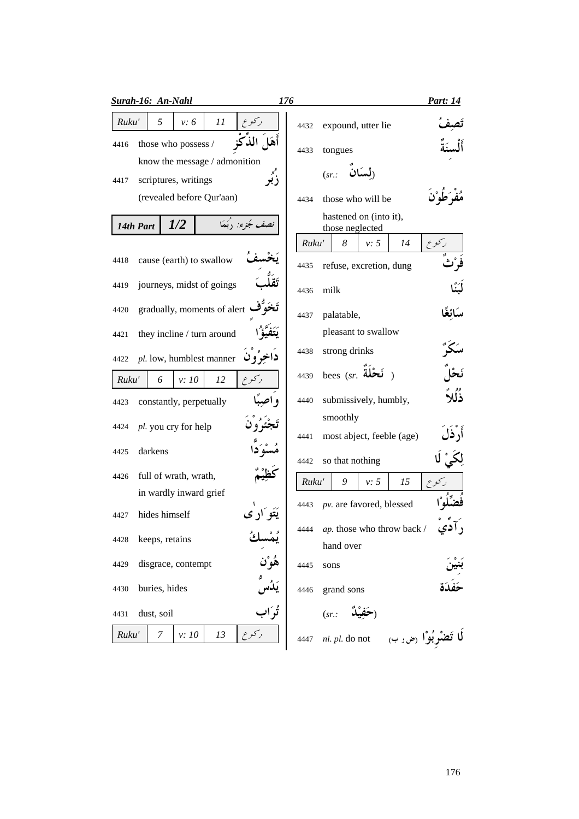| Ruku'<br>5<br>11<br>v: 6<br>expound, utter lie<br>4432                                               |         |
|------------------------------------------------------------------------------------------------------|---------|
|                                                                                                      |         |
| أهَلَ الذكَوْ<br>those who possess /<br>4416<br>4433<br>tongues                                      |         |
| know the message / admonition<br>(لسكان<br>(sr.<br>زُبُو<br>scriptures, writings<br>4417             |         |
| (revealed before Qur'aan)<br>those who will be<br>4434                                               |         |
| hastened on (into it),<br>1/2<br>نصف جُزِء: ‹بَعَا<br>14th Part<br>those neglected                   |         |
| Ruku'<br>8<br>v: 5<br>14                                                                             | رکوع    |
| cause (earth) to swallow<br>4418<br>refuse, excretion, dung<br>4435                                  |         |
| journeys, midst of goings<br>4419<br>milk<br>4436                                                    |         |
| gradually, moments of alert<br>4420<br>palatable,<br>4437                                            |         |
| pleasant to swallow<br>they incline / turn around<br>4421                                            |         |
| strong drinks<br>4438<br>داخرُو ن<br>pl. low, humblest manner<br>4422                                |         |
| bees (sr. فَحْلَة<br>4439<br>Ruku'<br>6<br>v:10<br>12<br>ركوع                                        |         |
| و اصدً<br>submissively, humbly,<br>4440<br>constantly, perpetually<br>4423                           | ذُلُلاً |
| smoothly<br>pl. you cry for help<br>4424<br>most abject, feeble (age)<br>4441                        | ار ذا   |
| darkens<br>4425<br>so that nothing<br>4442                                                           |         |
| full of wrath, wrath,<br>4426<br>v: 5<br>15<br>Ruku'<br>9                                            |         |
| in wardly inward grief                                                                               |         |
| pv. are favored, blessed<br>4443<br>يَتَوَ ارْ ي<br>hides himself<br>4427                            |         |
| <i>ap</i> . those who throw back /<br>4444<br>keeps, retains<br>4428<br>hand over                    |         |
| هُوْن<br>disgrace, contempt<br>4429<br>4445<br>sons                                                  |         |
| buries, hides<br>4430<br>grand sons<br>4446                                                          |         |
| تُوَاب<br>dust, soil<br>4431<br>(sr.                                                                 |         |
| Ruku'<br>دركوع<br>7<br>v: 10<br>13<br>لَّا تَضْرِبُوْا <sub>ً (ض ر</sub> ب<br>ni. pl. do not<br>4447 |         |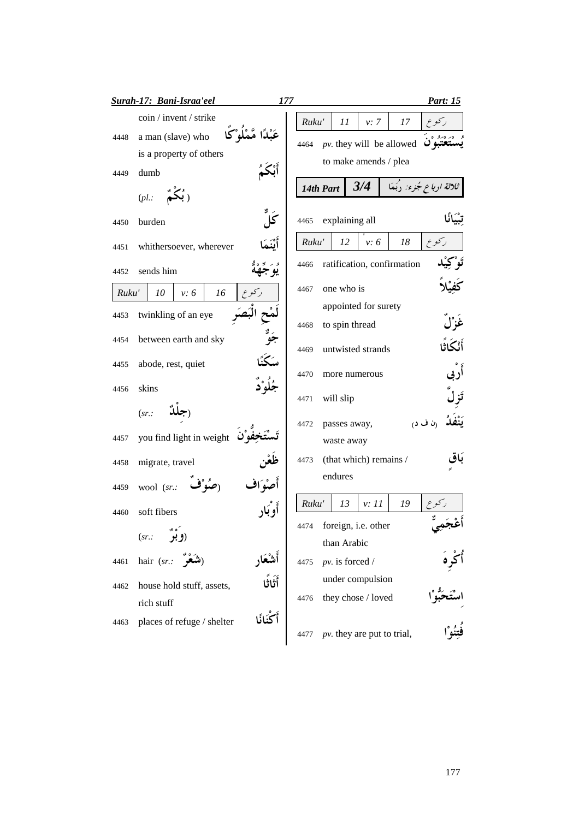|       | Surah-17: Bani-Israa'eel                  | 177   |                                    |       |                            | <u>Part: 15</u>          |
|-------|-------------------------------------------|-------|------------------------------------|-------|----------------------------|--------------------------|
|       | coin / invent / strike                    | Ruku' | 11                                 | v: 7  | 17                         |                          |
| 4448  | عَىْدًا مَّمْلُوْكَا<br>a man (slave) who | 4464  | $pv$ . they will be allowed        |       |                            |                          |
|       | is a property of others                   |       | to make amends / plea              |       |                            |                          |
| 4449  | dumb                                      |       |                                    |       |                            |                          |
|       | $(pl.:$ (بُكُمْ)                          |       | 14th Part                          | 3/4   |                            | ثلاثة ارباع جُزء: ربَمَا |
| 4450  | كا<br>burden                              | 4465  | explaining all                     |       |                            |                          |
| 4451  | أيْنَمَ<br>whithersoever, wherever        | Ruku' | 12                                 | v: 6  | 18                         | ركوع                     |
| 4452  | sends him                                 | 4466  |                                    |       | ratification, confirmation |                          |
| Ruku' | 10<br>v: 6<br>16<br>ر کو ع                | 4467  | one who is                         |       |                            |                          |
|       | twinkling of an eye                       |       | appointed for surety               |       |                            |                          |
| 4453  |                                           | 4468  | to spin thread                     |       |                            |                          |
| 4454  | ر<br>جو<br>between earth and sky          | 4469  | untwisted strands                  |       |                            | أَنْكَاثَا               |
| 4455  | سكَنَّ<br>abode, rest, quiet              |       |                                    |       |                            |                          |
|       | جُلُوْ دٌ<br>skins                        | 4470  | more numerous                      |       |                            |                          |
| 4456  |                                           | 4471  | will slip                          |       |                            |                          |
|       | (sr.                                      | 4472  | passes away,                       |       |                            | (ن ف د)                  |
| 4457  | you find light in weight                  |       | waste away                         |       |                            |                          |
| 4458  | migrate, travel                           | 4473  | (that which) remains /             |       |                            |                          |
| 4459  | wool (sr.:                                |       | endures                            |       |                            |                          |
|       |                                           | Ruku' | 13                                 | v: 11 | 19                         | کو ع                     |
| 4460  | soft fibers                               |       |                                    |       |                            |                          |
|       | رَوُمٌو<br>(sr.                           | 4474  | foreign, i.e. other<br>than Arabic |       |                            |                          |
| 4461  | hair $(sr.:$ التَمَعْرُ<br>أشُعَار        |       | $pv.$ is forced /                  |       |                            |                          |
|       |                                           | 4475  | under compulsion                   |       |                            |                          |
| 4462  | أَثَاثًا<br>house hold stuff, assets,     |       |                                    |       |                            |                          |
|       | rich stuff                                | 4476  | they chose / loved                 |       |                            |                          |
| 4463  | أَكْنَانًا<br>places of refuge / shelter  | 4477  | $pv$ . they are put to trial,      |       |                            |                          |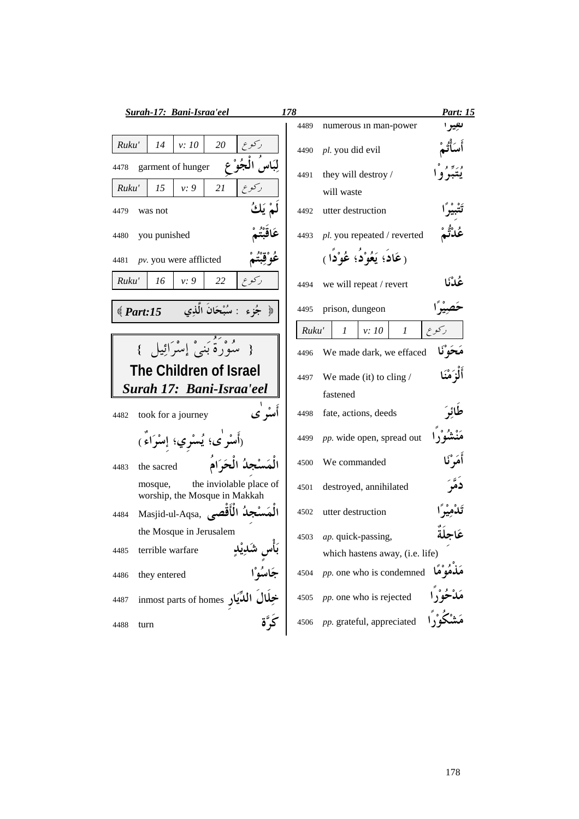| <b>Surah-17: Bani-Israa'eel</b>                                                                           | 178                                  | Part: 15    |
|-----------------------------------------------------------------------------------------------------------|--------------------------------------|-------------|
|                                                                                                           | 4489<br>numerous in man-power        | تعيبر ا     |
| v: 10<br>20<br>Ruku'<br>14                                                                                | pl. you did evil<br>4490             |             |
| garment of hunger<br>4478                                                                                 | they will destroy /<br>4491          |             |
| 21<br>ركوع<br>Ruku'<br>15<br>v: 9                                                                         | will waste                           |             |
| 4479<br>was not                                                                                           | utter destruction<br>4492            |             |
| you punished<br>4480                                                                                      | pl. you repeated / reverted<br>4493  | مُدْتُمْ    |
| عَوْ قَبْتَ<br>$pv.$ you were afflicted<br>4481                                                           | (عَادَ؛ يَعُوْدُ؛ عُوْدًا)           |             |
| ركوع<br>Ruku'<br>16<br>22<br>v: 9                                                                         | we will repeat / revert<br>4494      | عُدْنَا     |
| جُزء : سُبْحَانَ الَّذِي<br>$\text{\textdegree}$ Part:15<br>$\frac{1}{2}$                                 | prison, dungeon<br>4495              |             |
|                                                                                                           | Ruku'<br>$\mathcal{I}$<br>v: 10<br>1 | ر کو ع      |
| { سُوْرَةٌ بَنِيْ إِسْرَائِيلِ }                                                                          | We made dark, we effaced<br>4496     | مَحَوْلَا   |
| The Children of Israel                                                                                    | We made (it) to cling $/$<br>4497    | أَلْزَمْنَا |
| Surah 17: Bani-Israa'eel                                                                                  | fastened                             |             |
| أمىٌو نمى<br>took for a journey<br>4482                                                                   | fate, actions, deeds<br>4498         | للؤك        |
| (أَسْرِٰی؛ يُسْرِي؛ إِسْرَاءٌ)                                                                            | pp. wide open, spread out<br>4499    | مَنْشُوْراً |
| الْمَسْجِدُ الْحَرَامُ<br>the sacred<br>4483                                                              | We commanded<br>4500                 | أَمَرْكَا   |
| the inviolable place of<br>mosque,<br>worship, the Mosque in Makkah                                       | destroyed, annihilated<br>4501       |             |
| Masjid-ul-Aqsa, الْمَسْجِدُ الْأَقْصَى<br>4484                                                            | utter destruction<br>4502            |             |
| the Mosque in Jerusalem                                                                                   | ap. quick-passing,<br>4503           | عَاحِلَةَ   |
| 4485                                                                                                      | which hastens away, (i.e. life)      |             |
| 4486                                                                                                      | pp. one who is condemned<br>4504     | .مو ما      |
| بَأْسِ شَكْدِيْكٍ<br>جَاسُوْا<br>خِلَالَ الْمُّيَارِ inmost parts of homes<br>خِلَالَ الْمُّيَارِ<br>4487 | pp. one who is rejected<br>4505      |             |
| كَيَّة<br>4488<br>turn                                                                                    | pp. grateful, appreciated<br>4506    |             |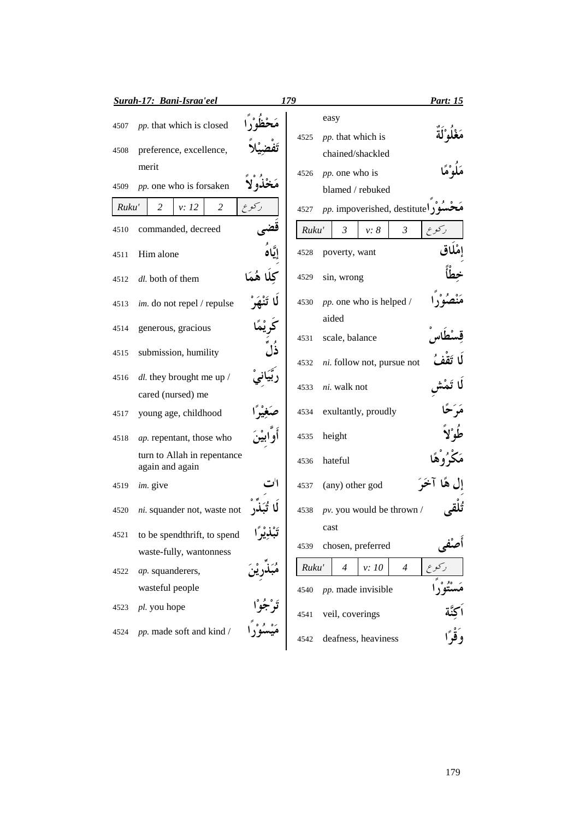|              | <b>Surah-17: Bani-Israa'eel</b>                     |                      | 179   |                                                       | Part: 15          |
|--------------|-----------------------------------------------------|----------------------|-------|-------------------------------------------------------|-------------------|
| 4507<br>4508 | pp. that which is closed<br>preference, excellence, |                      | 4525  | easy<br><i>pp</i> . that which is<br>chained/shackled |                   |
| 4509         | merit<br>pp. one who is forsaken                    |                      | 4526  | pp. one who is<br>blamed / rebuked                    |                   |
| Ruku'        | 2<br>2<br>v: 12                                     | ر کو ع               | 4527  | <i>pp</i> . impoverished, destitute                   |                   |
| 4510         | commanded, decreed                                  |                      | Ruku' | $\mathfrak{Z}$<br>v: 8<br>$\mathfrak{Z}$              | رکوع              |
| 4511         | Him alone                                           |                      | 4528  | poverty, want                                         |                   |
| 4512         | dl. both of them                                    | كلا هُمَا            | 4529  | sin, wrong                                            |                   |
| 4513         | im. do not repel / repulse                          |                      | 4530  | pp. one who is helped /                               |                   |
| 4514         | generous, gracious                                  |                      | 4531  | aided<br>scale, balance                               |                   |
| 4515         | submission, humility                                | ذا                   | 4532  | ni. follow not, pursue not                            |                   |
| 4516         | $dl$ , they brought me up /                         |                      | 4533  | ni. walk not                                          |                   |
|              | cared (nursed) me                                   |                      |       |                                                       |                   |
| 4517         | young age, childhood                                |                      | 4534  | exultantly, proudly                                   |                   |
| 4518         | ap. repentant, those who                            |                      | 4535  | height                                                |                   |
|              | turn to Allah in repentance<br>again and again      |                      | 4536  | hateful                                               |                   |
| 4519         | im. give                                            |                      | 4537  | (any) other god                                       |                   |
| 4520         | ni. squander not, waste not                         |                      | 4538  | $pv.$ you would be thrown /                           |                   |
| 4521         | to be spendthrift, to spend                         | ≫و ډه پ <sup>ه</sup> | 4539  | cast<br>chosen, preferred                             |                   |
|              | waste-fully, wantonness                             |                      |       |                                                       |                   |
| 4522         | ap. squanderers,                                    |                      | Ruku' | v:10<br>$\overline{4}$<br>$\overline{4}$              |                   |
|              | wasteful people                                     |                      | 4540  | pp. made invisible                                    |                   |
| 4523         | pl. you hope                                        |                      | 4541  | veil, coverings                                       |                   |
| 4524         | pp. made soft and kind /                            |                      | 4542  | deafness, heaviness                                   | اكِنّة<br>وَقْرًا |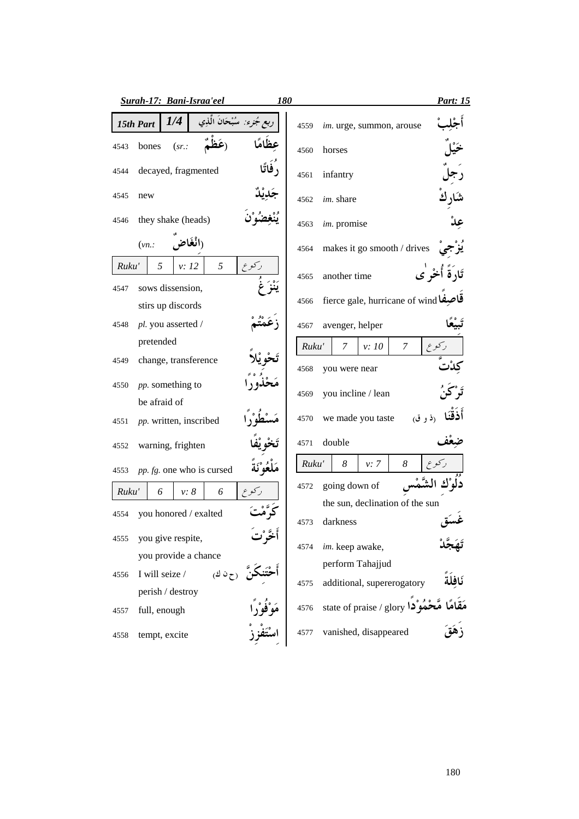|       | Surah-17: Bani-Israa'eel                   | <b>180</b> |       |                                       | <u>Part: 15</u>              |
|-------|--------------------------------------------|------------|-------|---------------------------------------|------------------------------|
|       | 1/4<br>نرء: سُبْحَانُ الْذِي<br>15th Part  |            | 4559  | im. urge, summon, arouse              |                              |
| 4543  | (sr.<br>bones                              |            | 4560  | horses                                |                              |
| 4544  | , فاتًا<br>decayed, fragmented             |            | 4561  | infantry                              |                              |
| 4545  | new                                        |            | 4562  | <i>im.</i> share                      |                              |
| 4546  | they shake (heads)                         |            | 4563  | im. promise                           |                              |
|       | راٺغاض<br>(vn.                             |            | 4564  | makes it go smooth / drives           |                              |
| Ruku' | 5<br>ركوع<br>5<br>v: 12                    |            | 4565  | another time                          | تَادَةً أُخْر <sup>ْ</sup> ي |
| 4547  | sows dissension,<br>stirs up discords      |            | 4566  | fierce gale, hurricane of wind فاحبفا |                              |
| 4548  | pl. you asserted /                         |            | 4567  | avenger, helper                       |                              |
|       | pretended                                  |            | Ruku' | v:10<br>7<br>7                        |                              |
| 4549  | change, transference                       |            | 4568  | you were near                         |                              |
| 4550  | <i>pp</i> . something to                   |            | 4569  | you incline / lean                    |                              |
|       | be afraid of                               |            |       |                                       |                              |
| 4551  | pp. written, inscribed                     |            | 4570  | we made you taste<br>(ذ و ق)          |                              |
| 4552  | warning, frighten                          |            | 4571  | double                                |                              |
| 4553  | مَلْعُوْ َنَة<br>pp. fg. one who is cursed |            | Ruku' | 8<br>8<br>v: 7                        |                              |
| Ruku' | v: 8<br>6<br>6                             |            | 4572  | going down of                         |                              |
| 4554  | you honored / exalted                      |            |       | the sun, declination of the sun       |                              |
|       |                                            |            | 4573  | darkness                              |                              |
| 4555  | you give respite,                          |            | 4574  | im. keep awake,                       |                              |
|       | you provide a chance                       |            |       | perform Tahajjud                      |                              |
| 4556  | (ح ن ك)<br>I will seize /                  |            | 4575  | additional, supererogatory            |                              |
|       | perish / destroy                           |            |       |                                       |                              |
| 4557  | full, enough                               |            | 4576  | state of praise / glory معمودا        |                              |
| 4558  | tempt, excite                              |            | 4577  | vanished, disappeared                 |                              |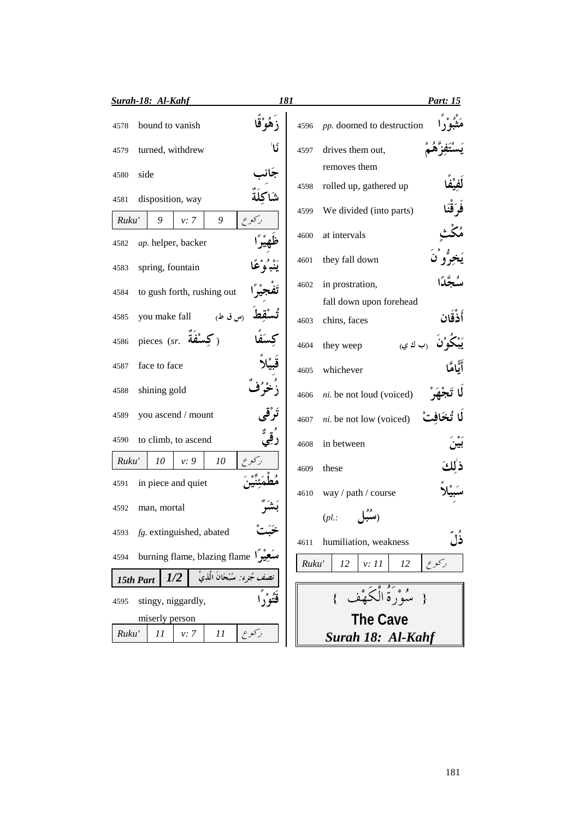| <b>Surah-18: Al-Kahf</b>                         |                                      | 181   | Part: 15                                    |  |
|--------------------------------------------------|--------------------------------------|-------|---------------------------------------------|--|
| bound to vanish<br>4578                          |                                      | 4596  | pp. doomed to destruction                   |  |
| turned, withdrew<br>4579                         | ١ú                                   | 4597  | drives them out,                            |  |
| side<br>4580                                     |                                      |       | removes them                                |  |
| disposition, way<br>4581                         |                                      | 4598  | rolled up, gathered up<br>فَرَقْنَا         |  |
| 9<br>Ruku'<br>9<br>v: 7                          | ركوع                                 | 4599  | We divided (into parts)                     |  |
| ap. helper, backer<br>4582                       |                                      | 4600  | at intervals                                |  |
| spring, fountain<br>4583                         |                                      | 4601  | يَخِرُّو ْنَ<br>they fall down              |  |
| to gush forth, rushing out<br>4584               |                                      | 4602  | in prostration,                             |  |
|                                                  |                                      |       | fall down upon forehead                     |  |
| (س ق ط)<br>you make fall<br>4585                 |                                      | 4603  | أَذْقَان<br>chins, faces                    |  |
| pieces (sr. مَسْفَة<br>4586                      |                                      | 4604  | (ب ك ي<br>they weep                         |  |
| face to face<br>4587                             |                                      | 4605  | أَلَّامًا<br>whichever                      |  |
| shining gold<br>4588                             |                                      | 4606  | ni. be not loud (voiced)                    |  |
| you ascend / mount<br>4589                       |                                      | 4607  | ni. be not low (voiced)                     |  |
| to climb, to ascend<br>4590                      |                                      | 4608  | in between                                  |  |
| Ruku'<br>10<br>v: 9<br>10                        |                                      | 4609  | ذلكَ<br>these                               |  |
| in piece and quiet<br>4591                       |                                      |       |                                             |  |
| man, mortal<br>4592                              |                                      | 4610  | way / path / course                         |  |
|                                                  |                                      |       | $(pl.$ :                                    |  |
| fg. extinguished, abated<br>4593                 |                                      | 4611  | ذل<br>humiliation, weakness                 |  |
| burning flame, blazing flame ) سَعِيْراً<br>4594 |                                      | Ruku' | ركوع<br>12<br>v: 11<br>12                   |  |
| 1/2<br>15th Part                                 | <i>نصف جُزِء:</i> سُبْحَانَ الَّذِيْ |       |                                             |  |
| stingy, niggardly,<br>4595                       | قَتُوْراً                            |       | سُوْرَةُ الْكَهْفَ<br>$\mathcal{E}$<br>$\{$ |  |
| miserly person                                   |                                      |       | <b>The Cave</b>                             |  |
| Ruku'<br>11<br>11<br>v: 7                        | ركوع                                 |       | Surah 18: Al-Kahf                           |  |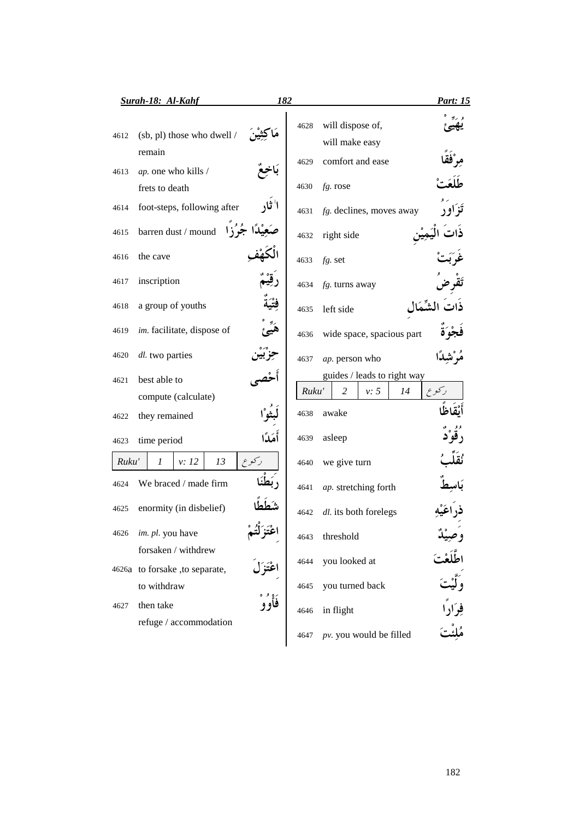|       | Surah-18: Al-Kahf<br>182                              |       |                                    | <u>Part: 15</u>   |
|-------|-------------------------------------------------------|-------|------------------------------------|-------------------|
| 4612  | (sb, pl) those who dwell /                            | 4628  | will dispose of,<br>will make easy |                   |
| 4613  | remain<br>ap. one who kills /                         | 4629  | comfort and ease                   |                   |
|       | frets to death                                        | 4630  | fg. rose                           |                   |
| 4614  | foot-steps, following after                           | 4631  | fg. declines, moves away           | ز او ر            |
| 4615  | barren $\text{dust}\,/\text{mound}$                   | 4632  | right side                         |                   |
| 4616  | the cave                                              | 4633  | $fg.$ set                          |                   |
| 4617  | inscription                                           | 4634  | fg. turns away                     |                   |
| 4618  | a group of youths                                     | 4635  | left side                          |                   |
| 4619  | im. facilitate, dispose of                            | 4636  | wide space, spacious part          |                   |
| 4620  | dl. two parties                                       | 4637  | ap. person who                     |                   |
| 4621  | best able to                                          |       | guides / leads to right way        |                   |
|       | compute (calculate)                                   | Ruku' | 2<br>v: 5<br>14                    | ر کو ع            |
| 4622  | they remained                                         | 4638  | awake                              |                   |
| 4623  | أَهَلَأَا<br>time period                              | 4639  | asleep                             |                   |
| Ruku' | رکوع<br>1<br>v: 12<br>13                              | 4640  | we give turn                       |                   |
| 4624  | We braced / made firm                                 | 4641  | ap. stretching forth               |                   |
| 4625  | enormity (in disbelief)                               | 4642  | dl. its both forelegs              |                   |
| 4626  | im. pl. you have                                      | 4643  | threshold                          | وصيد              |
|       | forsaken / withdrew<br>4626a to forsake, to separate, | 4644  | you looked at                      |                   |
|       | to withdraw                                           | 4645  | you turned back                    |                   |
| 4627  | فأوو<br>then take                                     | 4646  | in flight                          | فوادًا<br>مُلئُتَ |
|       | refuge / accommodation                                | 4647  | pv. you would be filled            |                   |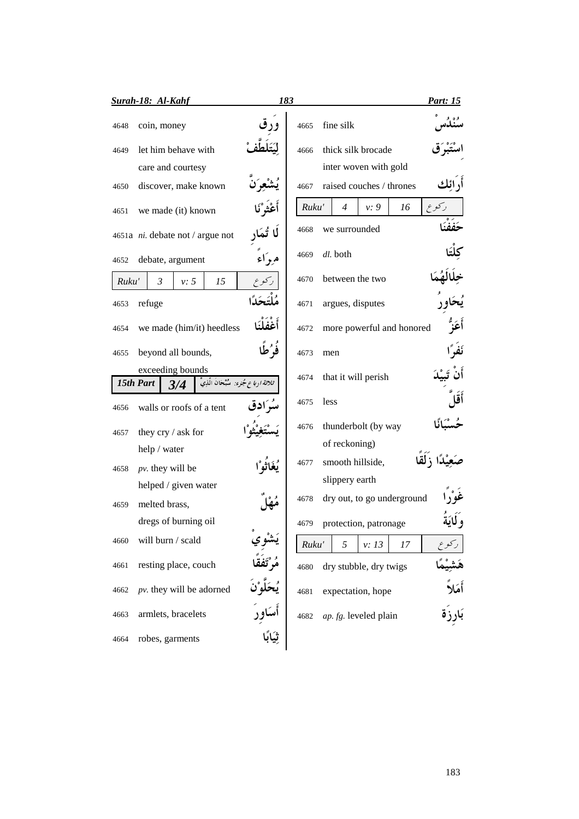|       |                | Surah-18: Al-Kahf        |                                                            |          | 183   |                              | <b>Part: 15</b> |
|-------|----------------|--------------------------|------------------------------------------------------------|----------|-------|------------------------------|-----------------|
| 4648  |                | coin, money              |                                                            |          | 4665  | fine silk                    |                 |
| 4649  |                | let him behave with      |                                                            |          | 4666  | thick silk brocade           |                 |
|       |                | care and courtesy        |                                                            |          |       | inter woven with gold        |                 |
| 4650  |                | discover, make known     |                                                            |          | 4667  | raised couches / thrones     |                 |
| 4651  |                | we made (it) known       |                                                            |          | Ruku' | $\overline{4}$<br>v: 9<br>16 | کو ع            |
|       |                |                          | 4651a $ni$ . debate not / argue not                        |          | 4668  | we surrounded                | ةة ة            |
| 4652  |                | debate, argument         |                                                            | مرداء    | 4669  | dl. both                     |                 |
| Ruku' | $\mathfrak{Z}$ | v: 5                     | 15                                                         | ركوع     | 4670  | between the two              |                 |
| 4653  | refuge         |                          |                                                            |          | 4671  | argues, disputes             |                 |
| 4654  |                |                          | we made (him/it) heedless                                  | أغفلنا   | 4672  | more powerful and honored    | أعَزُ           |
| 4655  |                | beyond all bounds,       |                                                            | فَوُكُما | 4673  | men                          |                 |
|       |                | exceeding bounds         |                                                            |          | 4674  | that it will perish          |                 |
|       | 15th Part      | 3/4                      | ث <i>لاثة ارباع جُزء:</i> سُبْحَانَ الَّذِي <mark>ّ</mark> |          |       |                              |                 |
| 4656  |                | walls or roofs of a tent |                                                            | ئە ادق   | 4675  | less                         |                 |
| 4657  |                | they cry / ask for       |                                                            |          | 4676  | thunderbolt (by way          |                 |
|       |                | help / water             |                                                            |          |       | of reckoning)                |                 |
| 4658  |                | $pv.$ they will be       |                                                            |          | 4677  | smooth hillside,             |                 |
|       |                | helped / given water     |                                                            |          |       | slippery earth               |                 |
| 4659  |                | melted brass,            |                                                            |          | 4678  | dry out, to go underground   |                 |
|       |                | dregs of burning oil     |                                                            |          | 4679  | protection, patronage        |                 |
| 4660  |                | will burn / scald        |                                                            |          | Ruku' | 5<br>v: 13<br>17             |                 |
| 4661  |                | resting place, couch     |                                                            |          | 4680  | dry stubble, dry twigs       |                 |
| 4662  |                |                          | $pv$ . they will be adorned                                |          | 4681  | expectation, hope            | أمَلا           |
| 4663  |                | armlets, bracelets       |                                                            |          | 4682  | ap. fg. leveled plain        |                 |
| 4664  |                | robes, garments          |                                                            |          |       |                              |                 |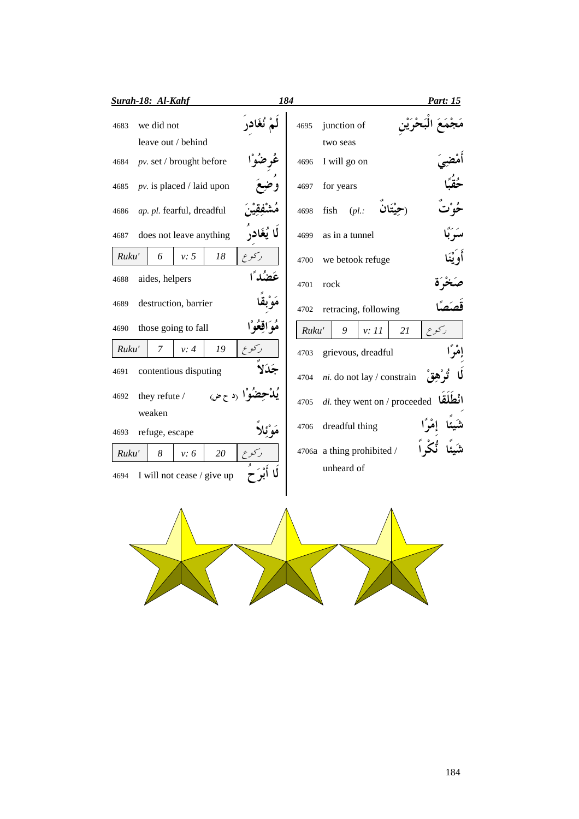|       | Surah-18: Al-Kahf              |            | 184   |                                                        | <b>Part: 15</b>     |
|-------|--------------------------------|------------|-------|--------------------------------------------------------|---------------------|
| 4683  | we did not                     |            | 4695  | junction of                                            |                     |
|       | leave out / behind             |            |       | two seas                                               |                     |
| 4684  | $pv.$ set / brought before     |            | 4696  | I will go on                                           |                     |
| 4685  | $pv.$ is placed / laid upon    |            | 4697  | for years                                              |                     |
| 4686  | ap. pl. fearful, dreadful      |            | 4698  | fish<br>$(pl.$ :                                       |                     |
| 4687  | does not leave anything        | لا يُغَادر | 4699  | as in a tunnel                                         | ر رء<br><b>سب</b> ا |
| Ruku' | v: 5<br>18<br>6                |            | 4700  | we betook refuge                                       | أَوْيْنَا           |
| 4688  | aides, helpers                 | عَضُد ًا   | 4701  | rock                                                   |                     |
| 4689  | destruction, barrier           |            | 4702  | retracing, following                                   |                     |
| 4690  | those going to fall            | واقعوا     | Ruku' | 9<br>v: 11<br>21                                       | ركوع                |
| Ruku' | $\overline{7}$<br>19<br>v: 4   |            | 4703  | grievous, dreadful                                     | إِمْرًا             |
| 4691  | contentious disputing          | جَدَلا     | 4704  | ni. do not lay / constrain                             |                     |
| 4692  | نيَوْا (د ح ض<br>they refute / |            | 4705  | <i>dl</i> . they went on / proceeded <b>انْطَلَقَا</b> |                     |
|       | weaken                         |            |       |                                                        |                     |
| 4693  | refuge, escape                 |            | 4706  | dreadful thing                                         |                     |
| Ruku' | 8<br>20<br>v: 6                | ركوع       |       | 4706a a thing prohibited /                             |                     |
| 4694  | I will not cease / give up     |            |       | unheard of                                             |                     |
|       |                                |            |       |                                                        |                     |